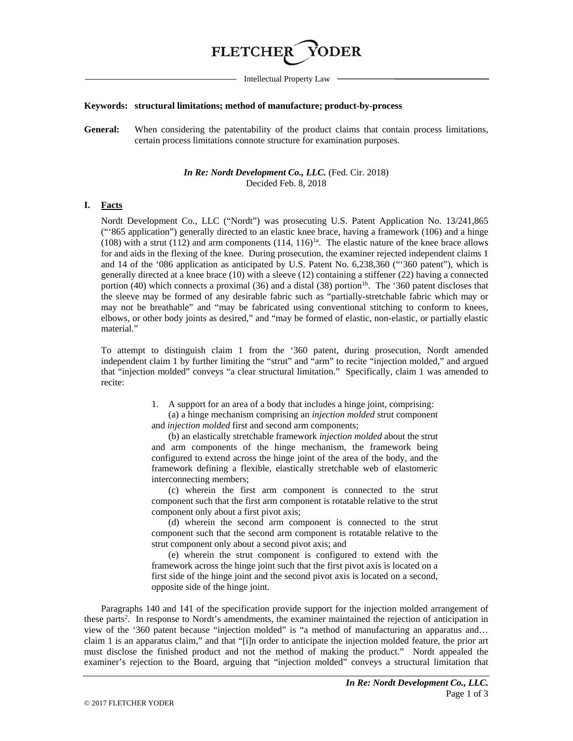# **FLETCHER**

Intellectual Property Law

#### **Keywords: structural limitations; method of manufacture; product-by-process**

General: When considering the patentability of the product claims that contain process limitations, certain process limitations connote structure for examination purposes.

## *In Re: Nordt Development Co., LLC.* (Fed. Cir. 2018) Decided Feb. 8, 2018

## **I. Facts**

Nordt Development Co., LLC ("Nordt") was prosecuting U.S. Patent Application No. 13/241,865 ("'865 application") generally directed to an elastic knee brace, having a framework (106) and a hinge (108) with a strut (112) and arm components (114,  $116$ <sup>1a</sup>. The elastic nature of the knee brace allows for and aids in the flexing of the knee. During prosecution, the examiner rejected independent claims 1 and 14 of the '086 application as anticipated by U.S. Patent No. 6,238,360 ("'360 patent"), which is generally directed at a knee brace (10) with a sleeve (12) containing a stiffener (22) having a connected portion (40) which connects a proximal (36) and a distal (38) portion<sup>1b</sup>. The '360 patent discloses that the sleeve may be formed of any desirable fabric such as "partially-stretchable fabric which may or may not be breathable" and "may be fabricated using conventional stitching to conform to knees, elbows, or other body joints as desired," and "may be formed of elastic, non-elastic, or partially elastic material."

To attempt to distinguish claim 1 from the '360 patent, during prosecution, Nordt amended independent claim 1 by further limiting the "strut" and "arm" to recite "injection molded," and argued that "injection molded" conveys "a clear structural limitation." Specifically, claim 1 was amended to recite:

> 1. A support for an area of a body that includes a hinge joint, comprising: (a) a hinge mechanism comprising an *injection molded* strut component and *injection molded* first and second arm components;

> (b) an elastically stretchable framework *injection molded* about the strut and arm components of the hinge mechanism, the framework being configured to extend across the hinge joint of the area of the body, and the framework defining a flexible, elastically stretchable web of elastomeric interconnecting members;

> (c) wherein the first arm component is connected to the strut component such that the first arm component is rotatable relative to the strut component only about a first pivot axis;

> (d) wherein the second arm component is connected to the strut component such that the second arm component is rotatable relative to the strut component only about a second pivot axis; and

> (e) wherein the strut component is configured to extend with the framework across the hinge joint such that the first pivot axis is located on a first side of the hinge joint and the second pivot axis is located on a second, opposite side of the hinge joint.

Paragraphs 140 and 141 of the specification provide support for the injection molded arrangement of these parts<sup>2</sup>. In response to Nordt's amendments, the examiner maintained the rejection of anticipation in view of the '360 patent because "injection molded" is "a method of manufacturing an apparatus and… claim 1 is an apparatus claim," and that "[i]n order to anticipate the injection molded feature, the prior art must disclose the finished product and not the method of making the product." Nordt appealed the examiner's rejection to the Board, arguing that "injection molded" conveys a structural limitation that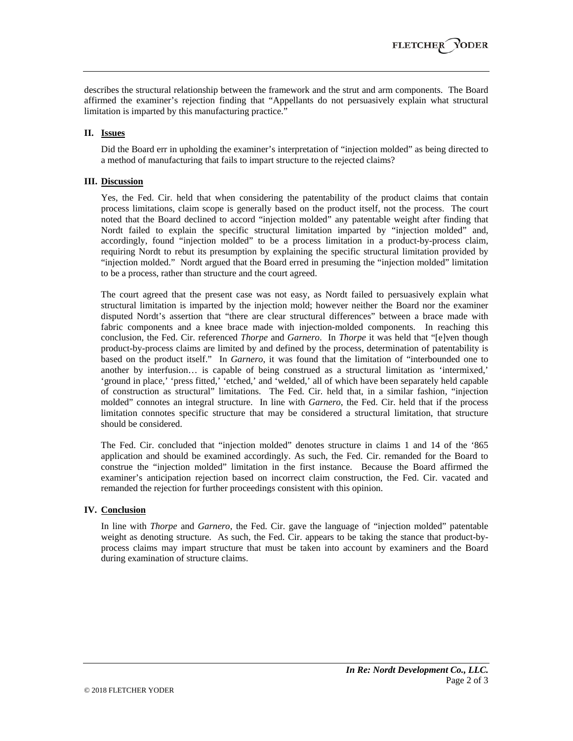describes the structural relationship between the framework and the strut and arm components. The Board affirmed the examiner's rejection finding that "Appellants do not persuasively explain what structural limitation is imparted by this manufacturing practice."

## **II. Issues**

Did the Board err in upholding the examiner's interpretation of "injection molded" as being directed to a method of manufacturing that fails to impart structure to the rejected claims?

## **III. Discussion**

Yes, the Fed. Cir. held that when considering the patentability of the product claims that contain process limitations, claim scope is generally based on the product itself, not the process. The court noted that the Board declined to accord "injection molded" any patentable weight after finding that Nordt failed to explain the specific structural limitation imparted by "injection molded" and, accordingly, found "injection molded" to be a process limitation in a product-by-process claim, requiring Nordt to rebut its presumption by explaining the specific structural limitation provided by "injection molded." Nordt argued that the Board erred in presuming the "injection molded" limitation to be a process, rather than structure and the court agreed.

The court agreed that the present case was not easy, as Nordt failed to persuasively explain what structural limitation is imparted by the injection mold; however neither the Board nor the examiner disputed Nordt's assertion that "there are clear structural differences" between a brace made with fabric components and a knee brace made with injection-molded components. In reaching this conclusion, the Fed. Cir. referenced *Thorpe* and *Garnero*. In *Thorpe* it was held that "[e]ven though product-by-process claims are limited by and defined by the process, determination of patentability is based on the product itself." In *Garnero*, it was found that the limitation of "interbounded one to another by interfusion… is capable of being construed as a structural limitation as 'intermixed,' 'ground in place,' 'press fitted,' 'etched,' and 'welded,' all of which have been separately held capable of construction as structural" limitations. The Fed. Cir. held that, in a similar fashion, "injection molded" connotes an integral structure. In line with *Garnero*, the Fed. Cir. held that if the process limitation connotes specific structure that may be considered a structural limitation, that structure should be considered.

The Fed. Cir. concluded that "injection molded" denotes structure in claims 1 and 14 of the '865 application and should be examined accordingly. As such, the Fed. Cir. remanded for the Board to construe the "injection molded" limitation in the first instance. Because the Board affirmed the examiner's anticipation rejection based on incorrect claim construction, the Fed. Cir. vacated and remanded the rejection for further proceedings consistent with this opinion.

## **IV. Conclusion**

In line with *Thorpe* and *Garnero*, the Fed. Cir. gave the language of "injection molded" patentable weight as denoting structure. As such, the Fed. Cir. appears to be taking the stance that product-byprocess claims may impart structure that must be taken into account by examiners and the Board during examination of structure claims.